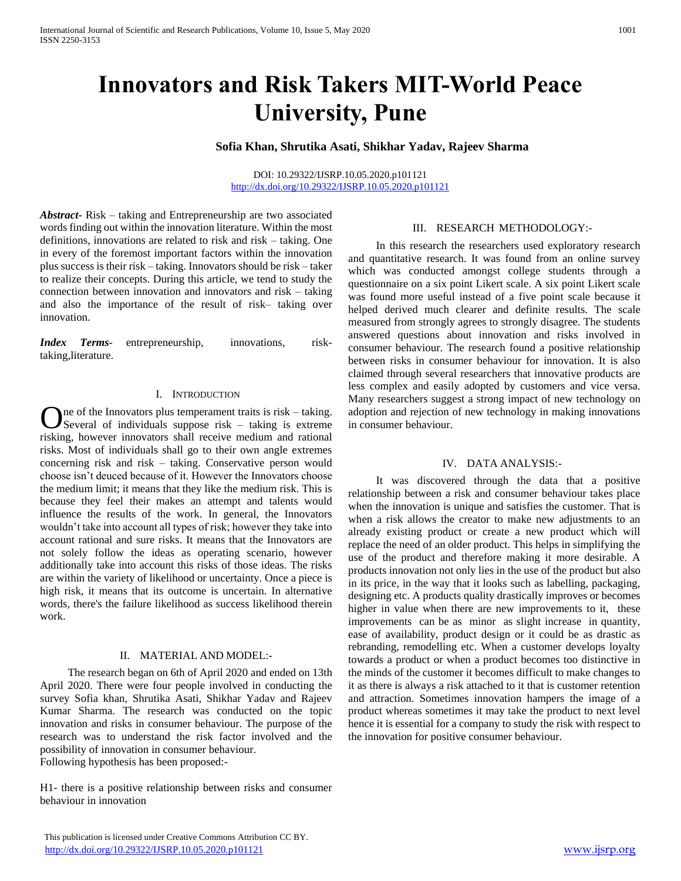# **Innovators and Risk Takers MIT-World Peace University, Pune**

# **Sofia Khan, Shrutika Asati, Shikhar Yadav, Rajeev Sharma**

DOI: 10.29322/IJSRP.10.05.2020.p101121 <http://dx.doi.org/10.29322/IJSRP.10.05.2020.p101121>

*Abstract***-** Risk – taking and Entrepreneurship are two associated words finding out within the innovation literature. Within the most definitions, innovations are related to risk and risk – taking. One in every of the foremost important factors within the innovation plus success is their risk – taking. Innovators should be risk – taker to realize their concepts. During this article, we tend to study the connection between innovation and innovators and risk – taking and also the importance of the result of risk– taking over innovation.

*Index Terms*- entrepreneurship, innovations, risktaking,literature.

### I. INTRODUCTION

ne of the Innovators plus temperament traits is risk – taking.  $\sum$ ne of the Innovators plus temperament traits is risk – taking.<br>Several of individuals suppose risk – taking is extreme risking, however innovators shall receive medium and rational risks. Most of individuals shall go to their own angle extremes concerning risk and risk – taking. Conservative person would choose isn't deuced because of it. However the Innovators choose the medium limit; it means that they like the medium risk. This is because they feel their makes an attempt and talents would influence the results of the work. In general, the Innovators wouldn't take into account all types of risk; however they take into account rational and sure risks. It means that the Innovators are not solely follow the ideas as operating scenario, however additionally take into account this risks of those ideas. The risks are within the variety of likelihood or uncertainty. Once a piece is high risk, it means that its outcome is uncertain. In alternative words, there's the failure likelihood as success likelihood therein work.

# II. MATERIAL AND MODEL:-

 The research began on 6th of April 2020 and ended on 13th April 2020. There were four people involved in conducting the survey Sofia khan, Shrutika Asati, Shikhar Yadav and Rajeev Kumar Sharma. The research was conducted on the topic innovation and risks in consumer behaviour. The purpose of the research was to understand the risk factor involved and the possibility of innovation in consumer behaviour. Following hypothesis has been proposed:-

H1- there is a positive relationship between risks and consumer behaviour in innovation

 This publication is licensed under Creative Commons Attribution CC BY. <http://dx.doi.org/10.29322/IJSRP.10.05.2020.p101121> [www.ijsrp.org](http://ijsrp.org/)

#### III. RESEARCH METHODOLOGY:-

 In this research the researchers used exploratory research and quantitative research. It was found from an online survey which was conducted amongst college students through a questionnaire on a six point Likert scale. A six point Likert scale was found more useful instead of a five point scale because it helped derived much clearer and definite results. The scale measured from strongly agrees to strongly disagree. The students answered questions about innovation and risks involved in consumer behaviour. The research found a positive relationship between risks in consumer behaviour for innovation. It is also claimed through several researchers that innovative products are less complex and easily adopted by customers and vice versa. Many researchers suggest a strong impact of new technology on adoption and rejection of new technology in making innovations in consumer behaviour.

# IV. DATA ANALYSIS:-

 It was discovered through the data that a positive relationship between a risk and consumer behaviour takes place when the innovation is unique and satisfies the customer. That is when a risk allows the creator to make new adjustments to an already existing product or create a new product which will replace the need of an older product. This helps in simplifying the use of the product and therefore making it more desirable. A products innovation not only lies in the use of the product but also in its price, in the way that it looks such as labelling, packaging, designing etc. A products quality drastically improves or becomes higher in value when there are new improvements to it, these improvements can be as minor as slight increase in quantity, ease of availability, product design or it could be as drastic as rebranding, remodelling etc. When a customer develops loyalty towards a product or when a product becomes too distinctive in the minds of the customer it becomes difficult to make changes to it as there is always a risk attached to it that is customer retention and attraction. Sometimes innovation hampers the image of a product whereas sometimes it may take the product to next level hence it is essential for a company to study the risk with respect to the innovation for positive consumer behaviour.